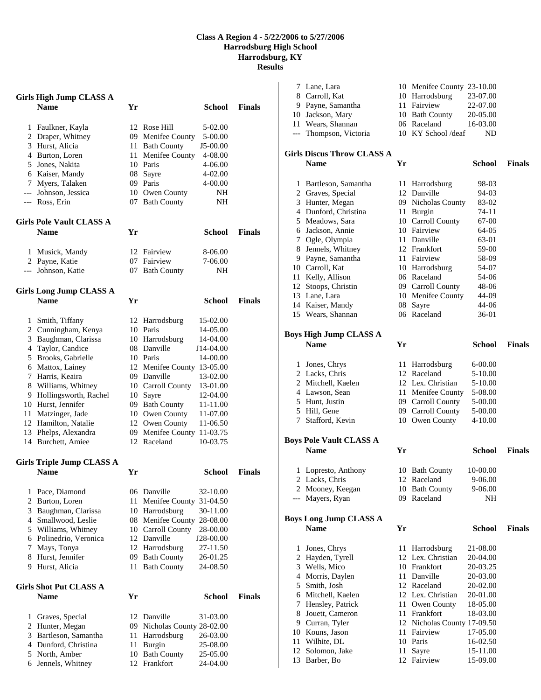## **Class A Region 4 - 5/22/2006 to 5/27/2006 Harrodsburg High School Harrodsburg, KY Results**

|                | <b>Girls High Jump CLASS A</b><br><b>Name</b> | Yr |                                  | School        | <b>Finals</b> |
|----------------|-----------------------------------------------|----|----------------------------------|---------------|---------------|
|                | 1 Faulkner, Kayla                             |    | 12 Rose Hill                     | 5-02.00       |               |
|                | 2 Draper, Whitney                             |    | 09 Menifee County                | 5-00.00       |               |
|                | 3 Hurst, Alicia                               |    | 11 Bath County                   | J5-00.00      |               |
|                | 4 Burton, Loren                               |    | 11 Menifee County                | 4-08.00       |               |
|                | 5 Jones, Nakita                               |    | 10 Paris                         | 4-06.00       |               |
|                |                                               |    | 08 Sayre                         | 4-02.00       |               |
|                | 6 Kaiser, Mandy                               |    |                                  |               |               |
|                | 7 Myers, Talaken                              |    | 09 Paris                         | 4-00.00       |               |
|                | --- Johnson, Jessica<br>--- Ross, Erin        |    | 10 Owen County<br>07 Bath County | NH<br>NH      |               |
|                | <b>Girls Pole Vault CLASS A</b>               |    |                                  |               |               |
|                | <b>Name</b>                                   | Yr |                                  | School        | <b>Finals</b> |
|                | 1 Musick, Mandy                               |    | 12 Fairview                      | 8-06.00       |               |
|                | 2 Payne, Katie                                |    | 07 Fairview                      | 7-06.00       |               |
|                | --- Johnson, Katie                            |    | 07 Bath County                   | NH            |               |
|                | <b>Girls Long Jump CLASS A</b>                |    |                                  |               |               |
|                | <b>Name</b>                                   | Yr |                                  | School        | <b>Finals</b> |
| 1              | Smith, Tiffany                                |    | 12 Harrodsburg                   | 15-02.00      |               |
|                | 2 Cunningham, Kenya                           |    | 10 Paris                         | 14-05.00      |               |
|                | 3 Baughman, Clarissa                          |    | 10 Harrodsburg                   | 14-04.00      |               |
|                | 4 Taylor, Candice                             |    | 08 Danville                      | J14-04.00     |               |
|                | 5 Brooks, Gabrielle                           |    | 10 Paris                         | 14-00.00      |               |
|                | 6 Mattox, Lainey                              |    | 12 Menifee County 13-05.00       |               |               |
|                | 7 Harris, Keaira                              |    | 09 Danville                      | 13-02.00      |               |
|                | 8 Williams, Whitney                           |    | 10 Carroll County                | 13-01.00      |               |
|                | 9 Hollingsworth, Rachel                       |    | 10 Sayre                         | 12-04.00      |               |
|                | 10 Hurst, Jennifer                            |    | 09 Bath County                   | 11-11.00      |               |
|                | 11 Matzinger, Jade                            |    | 10 Owen County                   | 11-07.00      |               |
|                | 12 Hamilton, Natalie                          |    | 12 Owen County                   | 11-06.50      |               |
|                | 13 Phelps, Alexandra                          |    | 09 Menifee County                | 11-03.75      |               |
|                | 14 Burchett, Amiee                            |    | 12 Raceland                      | 10-03.75      |               |
|                | <b>Girls Triple Jump CLASS A</b>              |    |                                  |               |               |
|                | Name                                          | Yr |                                  | School        | <b>Finals</b> |
| 1              | Pace, Diamond                                 |    | 06 Danville                      | 32-10.00      |               |
| $\overline{c}$ | Burton, Loren                                 | 11 | Menifee County                   | 31-04.50      |               |
| 3              | Baughman, Clarissa                            |    | 10 Harrodsburg                   | 30-11.00      |               |
| $\overline{4}$ | Smallwood, Leslie                             |    | 08 Menifee County                | 28-08.00      |               |
| 5              | Williams, Whitney                             |    | 10 Carroll County                | 28-00.00      |               |
|                | 6 Polinedrio, Veronica                        |    | 12 Danville                      | J28-00.00     |               |
| 7              | Mays, Tonya                                   |    | 12 Harrodsburg                   | 27-11.50      |               |
| 8              | Hurst, Jennifer                               |    | 09 Bath County                   | 26-01.25      |               |
| 9.             | Hurst, Alicia                                 | 11 | <b>Bath County</b>               | 24-08.50      |               |
|                | Girls Shot Put CLASS A                        |    |                                  |               |               |
|                | <b>Name</b>                                   | Yr |                                  | <b>School</b> | <b>Finals</b> |
| 1              | Graves, Special                               |    | 12 Danville                      | 31-03.00      |               |
| $\overline{c}$ | Hunter, Megan                                 |    | 09 Nicholas County 28-02.00      |               |               |
| 3              | Bartleson, Samantha                           | 11 | Harrodsburg                      | 26-03.00      |               |
| 4              | Dunford, Christina                            | 11 | Burgin                           | 25-08.00      |               |
| 5              | North, Amber                                  | 10 | <b>Bath County</b>               | 25-05.00      |               |
| 6              | Jennels, Whitney                              | 12 | Frankfort                        | 24-04.00      |               |

|     | 7 Lane, Lara                      |    | 10 Menifee County 23-10.00  |               |               |
|-----|-----------------------------------|----|-----------------------------|---------------|---------------|
|     | 8 Carroll, Kat                    |    | 10 Harrodsburg              | 23-07.00      |               |
|     | 9 Payne, Samantha                 |    | 11 Fairview                 | 22-07.00      |               |
|     | 10 Jackson, Mary                  |    | 10 Bath County              | 20-05.00      |               |
|     | 11 Wears, Shannan                 |    | 06 Raceland                 | 16-03.00      |               |
|     | --- Thompson, Victoria            |    | 10 KY School /deaf          | ND            |               |
|     |                                   |    |                             |               |               |
|     | <b>Girls Discus Throw CLASS A</b> |    |                             |               |               |
|     | <b>Name</b>                       | Yr |                             | School        | <b>Finals</b> |
|     |                                   |    |                             |               |               |
| 1   | Bartleson, Samantha               | 11 | Harrodsburg                 | 98-03         |               |
|     | 2 Graves, Special                 |    | 12 Danville                 | 94-03         |               |
|     | 3 Hunter, Megan                   |    | 09 Nicholas County          | 83-02         |               |
|     | 4 Dunford, Christina              |    | 11 Burgin                   | 74-11         |               |
|     | 5 Meadows, Sara                   |    | 10 Carroll County           | 67-00         |               |
|     | 6 Jackson, Annie                  |    | 10 Fairview                 | 64-05         |               |
|     | 7 Ogle, Olympia                   |    | 11 Danville                 | 63-01         |               |
| 8   | Jennels, Whitney                  |    | 12 Frankfort                | 59-00         |               |
|     | 9 Payne, Samantha                 |    | 11 Fairview                 | 58-09         |               |
|     | 10 Carroll, Kat                   |    | 10 Harrodsburg              | 54-07         |               |
| 11  | Kelly, Allison                    |    | 06 Raceland                 | 54-06         |               |
|     | 12 Stoops, Christin               |    | 09 Carroll County           | 48-06         |               |
|     | 13 Lane, Lara                     |    | 10 Menifee County           | 44-09         |               |
|     | 14 Kaiser, Mandy                  | 08 | Sayre                       | 44-06         |               |
|     | 15 Wears, Shannan                 |    | 06 Raceland                 | 36-01         |               |
|     |                                   |    |                             |               |               |
|     | Boys High Jump CLASS A            |    |                             |               |               |
|     | <b>Name</b>                       | Yr |                             | <b>School</b> | <b>Finals</b> |
|     |                                   |    |                             |               |               |
| 1   | Jones, Chrys                      | 11 | Harrodsburg                 | $6 - 00.00$   |               |
|     | 2 Lacks, Chris                    |    | 12 Raceland                 | 5-10.00       |               |
|     | 2 Mitchell, Kaelen                |    | 12 Lex. Christian           | 5-10.00       |               |
|     | 4 Lawson, Sean                    |    | 11 Menifee County           | 5-08.00       |               |
|     | 5 Hunt, Justin                    |    | 09 Carroll County           | 5-00.00       |               |
|     | 5 Hill, Gene                      |    | 09 Carroll County           | 5-00.00       |               |
|     | 7 Stafford, Kevin                 |    | 10 Owen County              | 4-10.00       |               |
|     |                                   |    |                             |               |               |
|     | <b>Boys Pole Vault CLASS A</b>    |    |                             |               |               |
|     | <b>Name</b>                       | Yr |                             | School        | <b>Finals</b> |
|     |                                   |    |                             |               |               |
| 1   | Lopresto, Anthony                 |    | 10 Bath County              | 10-00.00      |               |
|     | 2 Lacks, Chris                    |    | 12 Raceland                 | 9-06.00       |               |
|     | 2 Mooney, Keegan                  |    | 10 Bath County              | 9-06.00       |               |
| --- | Mayers, Ryan                      |    | 09 Raceland                 | NH            |               |
|     |                                   |    |                             |               |               |
|     | <b>Boys Long Jump CLASS A</b>     |    |                             |               |               |
|     | <b>Name</b>                       | Yr |                             | <b>School</b> | <b>Finals</b> |
|     |                                   |    |                             |               |               |
| 1   | Jones, Chrys                      |    | 11 Harrodsburg              | 21-08.00      |               |
| 2   | Hayden, Tyrell                    |    | 12 Lex. Christian           | 20-04.00      |               |
| 3   | Wells, Mico                       |    | 10 Frankfort                | 20-03.25      |               |
| 4   | Morris, Daylen                    | 11 | Danville                    | 20-03.00      |               |
| 5   | Smith, Josh                       |    | 12 Raceland                 | 20-02.00      |               |
| 6   | Mitchell, Kaelen                  |    | 12 Lex. Christian           | 20-01.00      |               |
| 7   | Hensley, Patrick                  |    | 11 Owen County              | 18-05.00      |               |
| 8   | Jouett, Cameron                   | 11 | Frankfort                   | 18-03.00      |               |
| 9   | Curran, Tyler                     |    | 12 Nicholas County 17-09.50 |               |               |
|     | 10 Kouns, Jason                   | 11 | Fairview                    | 17-05.00      |               |
| 11  | Wilhite, DL                       |    | 10 Paris                    | 16-02.50      |               |
| 12  | Solomon, Jake                     | 11 | Sayre                       | 15-11.00      |               |
| 13  | Barber, Bo                        | 12 | Fairview                    | 15-09.00      |               |